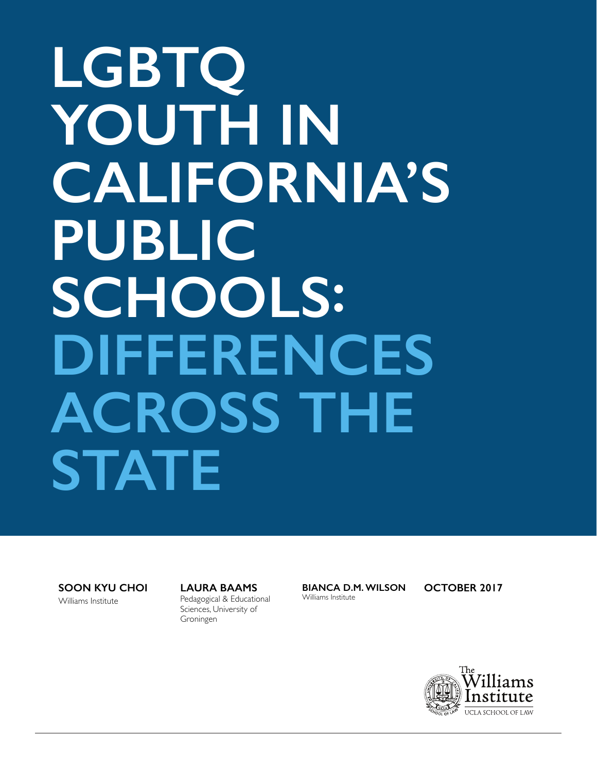# **LGBTQ YOUTH IN CALIFORNIA'S PUBLIC SCHOOLS: DIFFERENCES ACROSS THE STATE**

**SOON KYU CHOI**

Williams Institute

**LAURA BAAMS** Pedagogical & Educational Sciences, University of Groningen

**BIANCA D.M. WILSON** Williams Institute

**OCTOBER 2017**

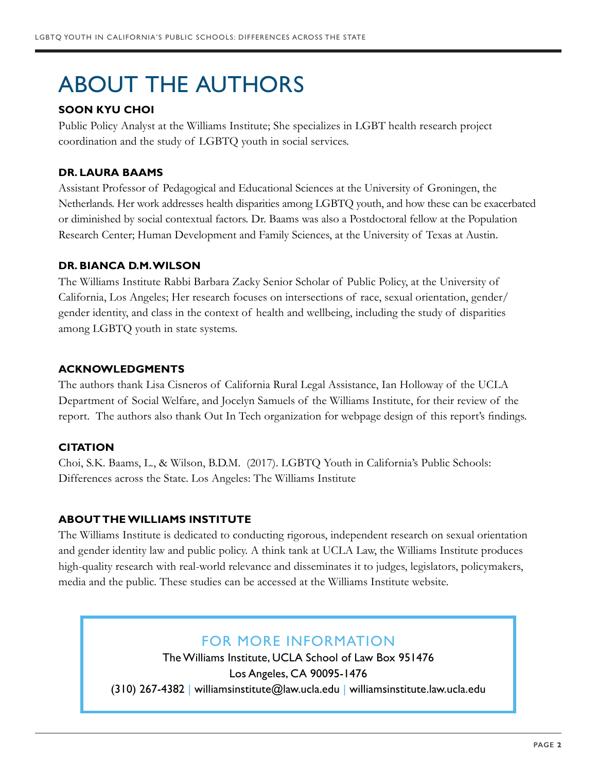# ABOUT THE AUTHORS

### **SOON KYU CHOI**

Public Policy Analyst at the Williams Institute; She specializes in LGBT health research project coordination and the study of LGBTQ youth in social services.

#### **DR. LAURA BAAMS**

Assistant Professor of Pedagogical and Educational Sciences at the University of Groningen, the Netherlands. Her work addresses health disparities among LGBTQ youth, and how these can be exacerbated or diminished by social contextual factors. Dr. Baams was also a Postdoctoral fellow at the Population Research Center; Human Development and Family Sciences, at the University of Texas at Austin.

#### **DR. BIANCA D.M. WILSON**

The Williams Institute Rabbi Barbara Zacky Senior Scholar of Public Policy, at the University of California, Los Angeles; Her research focuses on intersections of race, sexual orientation, gender/ gender identity, and class in the context of health and wellbeing, including the study of disparities among LGBTQ youth in state systems.

#### **ACKNOWLEDGMENTS**

The authors thank Lisa Cisneros of California Rural Legal Assistance, Ian Holloway of the UCLA Department of Social Welfare, and Jocelyn Samuels of the Williams Institute, for their review of the report. The authors also thank Out In Tech organization for webpage design of this report's findings.

### **CITATION**

Choi, S.K. Baams, L., & Wilson, B.D.M. (2017). LGBTQ Youth in California's Public Schools: Differences across the State. Los Angeles: The Williams Institute

### **ABOUT THE WILLIAMS INSTITUTE**

The Williams Institute is dedicated to conducting rigorous, independent research on sexual orientation and gender identity law and public policy. A think tank at UCLA Law, the Williams Institute produces high-quality research with real-world relevance and disseminates it to judges, legislators, policymakers, media and the public. These studies can be accessed at the Williams Institute website.

# FOR MORE INFORMATION

The Williams Institute, UCLA School of Law Box 951476 Los Angeles, CA 90095-1476 (310) 267-4382 | williamsinstitute@law.ucla.edu | williamsinstitute.law.ucla.edu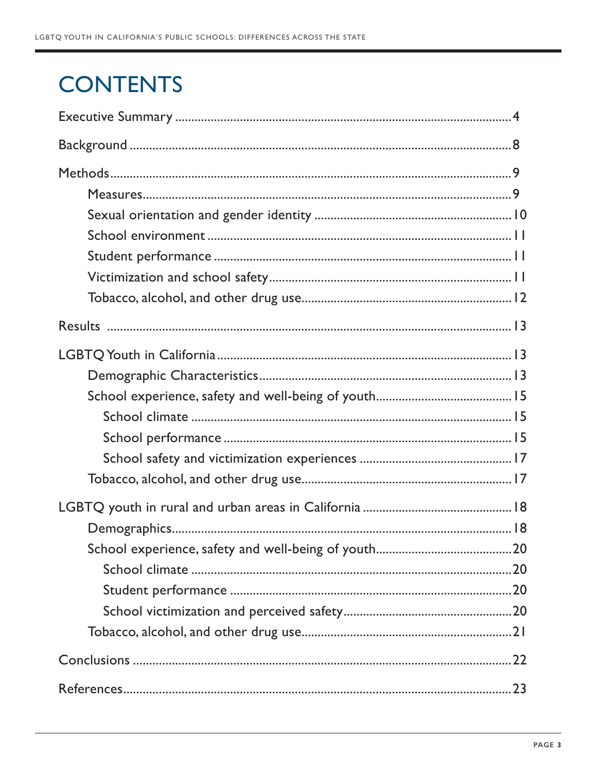# **CONTENTS**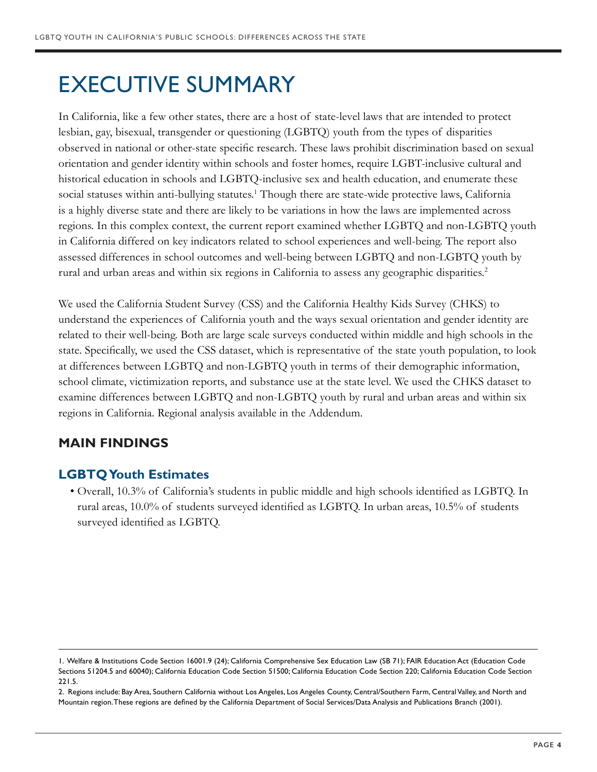# EXECUTIVE SUMMARY

In California, like a few other states, there are a host of state-level laws that are intended to protect lesbian, gay, bisexual, transgender or questioning (LGBTQ) youth from the types of disparities observed in national or other-state specific research. These laws prohibit discrimination based on sexual orientation and gender identity within schools and foster homes, require LGBT-inclusive cultural and historical education in schools and LGBTQ-inclusive sex and health education, and enumerate these social statuses within anti-bullying statutes.<sup>1</sup> Though there are state-wide protective laws, California is a highly diverse state and there are likely to be variations in how the laws are implemented across regions. In this complex context, the current report examined whether LGBTQ and non-LGBTQ youth in California differed on key indicators related to school experiences and well-being. The report also assessed differences in school outcomes and well-being between LGBTQ and non-LGBTQ youth by rural and urban areas and within six regions in California to assess any geographic disparities.2

We used the California Student Survey (CSS) and the California Healthy Kids Survey (CHKS) to understand the experiences of California youth and the ways sexual orientation and gender identity are related to their well-being. Both are large scale surveys conducted within middle and high schools in the state. Specifically, we used the CSS dataset, which is representative of the state youth population, to look at differences between LGBTQ and non-LGBTQ youth in terms of their demographic information, school climate, victimization reports, and substance use at the state level. We used the CHKS dataset to examine differences between LGBTQ and non-LGBTQ youth by rural and urban areas and within six regions in California. Regional analysis available in the Addendum.

# **MAIN FINDINGS**

# **LGBTQ Youth Estimates**

• Overall, 10.3% of California's students in public middle and high schools identified as LGBTQ. In rural areas, 10.0% of students surveyed identified as LGBTQ. In urban areas, 10.5% of students surveyed identified as LGBTQ.

<sup>1.</sup> Welfare & Institutions Code Section 16001.9 (24); California Comprehensive Sex Education Law (SB 71); FAIR Education Act (Education Code Sections 51204.5 and 60040); California Education Code Section 51500; California Education Code Section 220; California Education Code Section 221.5.

<sup>2.</sup> Regions include: Bay Area, Southern California without Los Angeles, Los Angeles County, Central/Southern Farm, Central Valley, and North and Mountain region. These regions are defined by the California Department of Social Services/Data Analysis and Publications Branch (2001).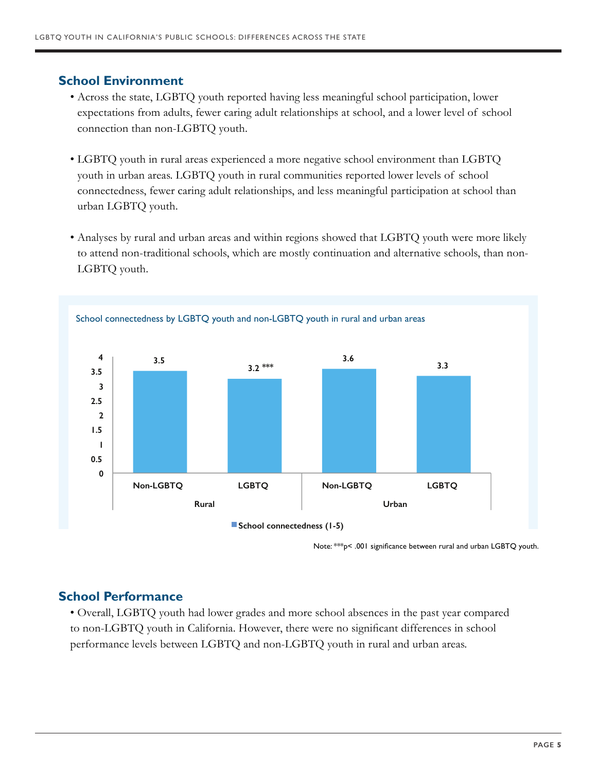### **School Environment**

- Across the state, LGBTQ youth reported having less meaningful school participation, lower expectations from adults, fewer caring adult relationships at school, and a lower level of school connection than non-LGBTQ youth.
- LGBTQ youth in rural areas experienced a more negative school environment than LGBTQ youth in urban areas. LGBTQ youth in rural communities reported lower levels of school connectedness, fewer caring adult relationships, and less meaningful participation at school than urban LGBTQ youth.
- Analyses by rural and urban areas and within regions showed that LGBTQ youth were more likely to attend non-traditional schools, which are mostly continuation and alternative schools, than non-LGBTQ youth.



Note: \*\*\*p< .001 significance between rural and urban LGBTQ youth.

### **School Performance**

• Overall, LGBTQ youth had lower grades and more school absences in the past year compared to non-LGBTQ youth in California. However, there were no significant differences in school performance levels between LGBTQ and non-LGBTQ youth in rural and urban areas.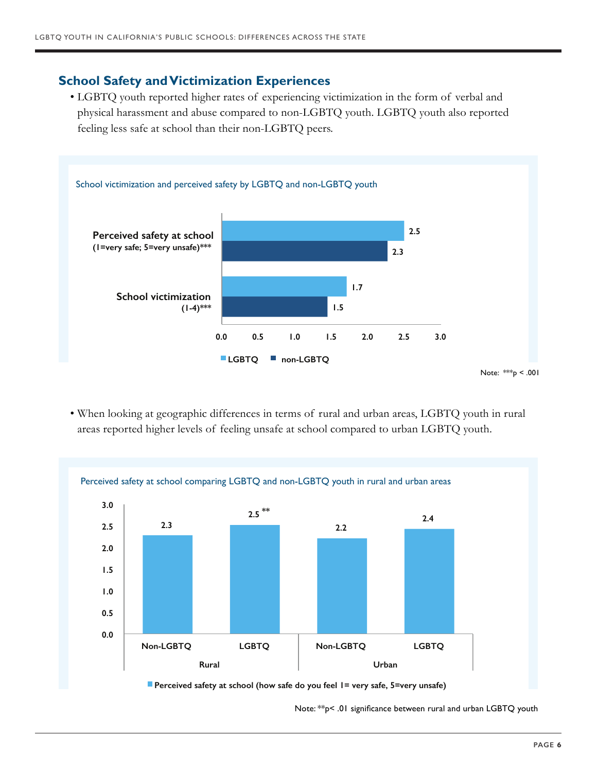# **School Safety and Victimization Experiences**

• LGBTQ youth reported higher rates of experiencing victimization in the form of verbal and physical harassment and abuse compared to non-LGBTQ youth. LGBTQ youth also reported feeling less safe at school than their non-LGBTQ peers.



• When looking at geographic differences in terms of rural and urban areas, LGBTQ youth in rural areas reported higher levels of feeling unsafe at school compared to urban LGBTQ youth.



Note: \*\*p< .01 significance between rural and urban LGBTQ youth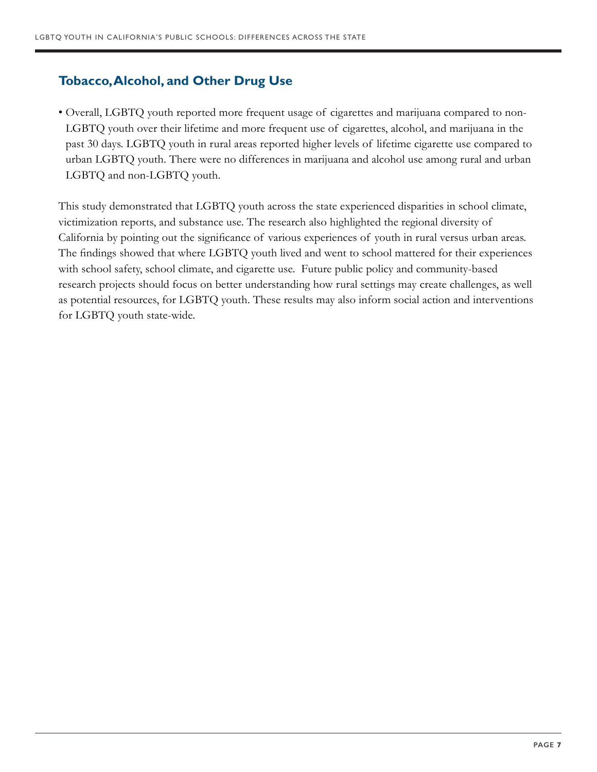# **Tobacco, Alcohol, and Other Drug Use**

• Overall, LGBTQ youth reported more frequent usage of cigarettes and marijuana compared to non-LGBTQ youth over their lifetime and more frequent use of cigarettes, alcohol, and marijuana in the past 30 days. LGBTQ youth in rural areas reported higher levels of lifetime cigarette use compared to urban LGBTQ youth. There were no differences in marijuana and alcohol use among rural and urban LGBTQ and non-LGBTQ youth.

This study demonstrated that LGBTQ youth across the state experienced disparities in school climate, victimization reports, and substance use. The research also highlighted the regional diversity of California by pointing out the significance of various experiences of youth in rural versus urban areas. The findings showed that where LGBTQ youth lived and went to school mattered for their experiences with school safety, school climate, and cigarette use. Future public policy and community-based research projects should focus on better understanding how rural settings may create challenges, as well as potential resources, for LGBTQ youth. These results may also inform social action and interventions for LGBTQ youth state-wide.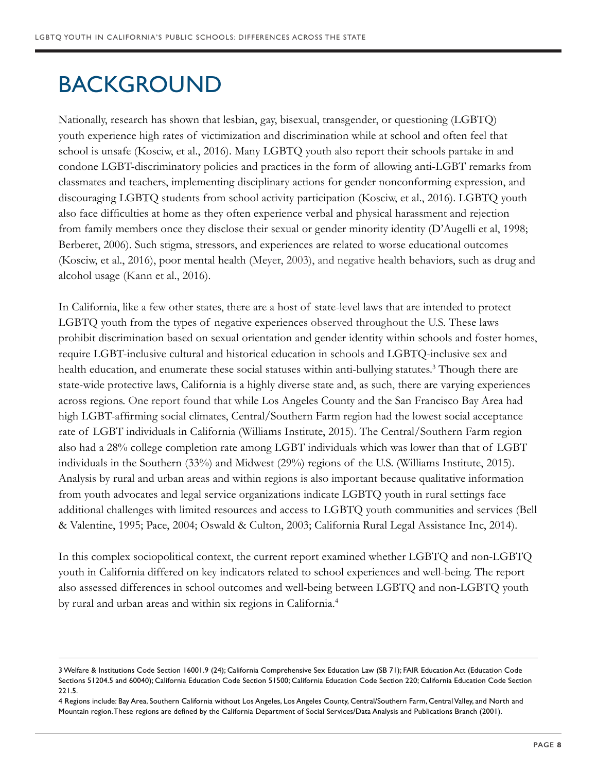# BACKGROUND

Nationally, research has shown that lesbian, gay, bisexual, transgender, or questioning (LGBTQ) youth experience high rates of victimization and discrimination while at school and often feel that school is unsafe (Kosciw, et al., 2016). Many LGBTQ youth also report their schools partake in and condone LGBT-discriminatory policies and practices in the form of allowing anti-LGBT remarks from classmates and teachers, implementing disciplinary actions for gender nonconforming expression, and discouraging LGBTQ students from school activity participation (Kosciw, et al., 2016). LGBTQ youth also face difficulties at home as they often experience verbal and physical harassment and rejection from family members once they disclose their sexual or gender minority identity (D'Augelli et al, 1998; Berberet, 2006). Such stigma, stressors, and experiences are related to worse educational outcomes (Kosciw, et al., 2016), poor mental health (Meyer, 2003), and negative health behaviors, such as drug and alcohol usage (Kann et al., 2016).

In California, like a few other states, there are a host of state-level laws that are intended to protect LGBTQ youth from the types of negative experiences observed throughout the U.S. These laws prohibit discrimination based on sexual orientation and gender identity within schools and foster homes, require LGBT-inclusive cultural and historical education in schools and LGBTQ-inclusive sex and health education, and enumerate these social statuses within anti-bullying statutes.<sup>3</sup> Though there are state-wide protective laws, California is a highly diverse state and, as such, there are varying experiences across regions. One report found that while Los Angeles County and the San Francisco Bay Area had high LGBT-affirming social climates, Central/Southern Farm region had the lowest social acceptance rate of LGBT individuals in California (Williams Institute, 2015). The Central/Southern Farm region also had a 28% college completion rate among LGBT individuals which was lower than that of LGBT individuals in the Southern (33%) and Midwest (29%) regions of the U.S. (Williams Institute, 2015). Analysis by rural and urban areas and within regions is also important because qualitative information from youth advocates and legal service organizations indicate LGBTQ youth in rural settings face additional challenges with limited resources and access to LGBTQ youth communities and services (Bell & Valentine, 1995; Pace, 2004; Oswald & Culton, 2003; California Rural Legal Assistance Inc, 2014).

In this complex sociopolitical context, the current report examined whether LGBTQ and non-LGBTQ youth in California differed on key indicators related to school experiences and well-being. The report also assessed differences in school outcomes and well-being between LGBTQ and non-LGBTQ youth by rural and urban areas and within six regions in California.<sup>4</sup>

<sup>3</sup> Welfare & Institutions Code Section 16001.9 (24); California Comprehensive Sex Education Law (SB 71); FAIR Education Act (Education Code Sections 51204.5 and 60040); California Education Code Section 51500; California Education Code Section 220; California Education Code Section 221.5.

<sup>4</sup> Regions include: Bay Area, Southern California without Los Angeles, Los Angeles County, Central/Southern Farm, Central Valley, and North and Mountain region. These regions are defined by the California Department of Social Services/Data Analysis and Publications Branch (2001).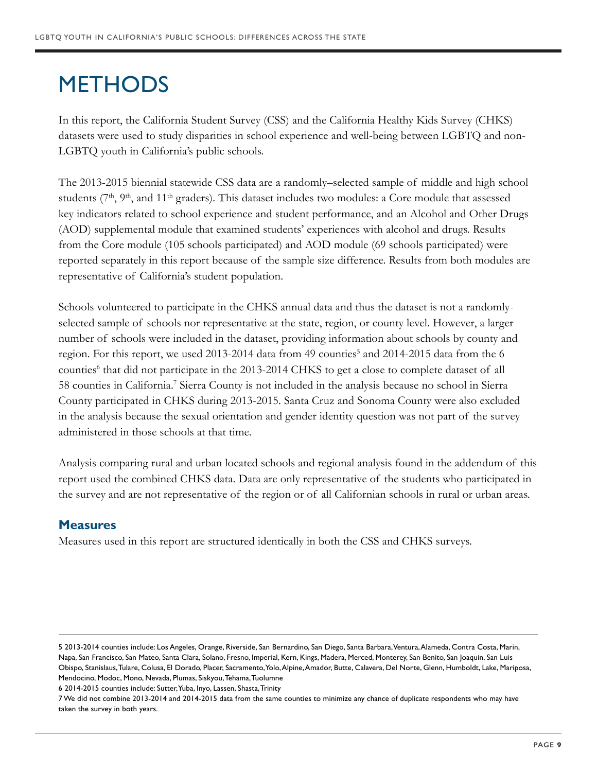# **METHODS**

In this report, the California Student Survey (CSS) and the California Healthy Kids Survey (CHKS) datasets were used to study disparities in school experience and well-being between LGBTQ and non-LGBTQ youth in California's public schools.

The 2013-2015 biennial statewide CSS data are a randomly–selected sample of middle and high school students  $(7<sup>th</sup>, 9<sup>th</sup>, and 11<sup>th</sup> graders)$ . This dataset includes two modules: a Core module that assessed key indicators related to school experience and student performance, and an Alcohol and Other Drugs (AOD) supplemental module that examined students' experiences with alcohol and drugs. Results from the Core module (105 schools participated) and AOD module (69 schools participated) were reported separately in this report because of the sample size difference. Results from both modules are representative of California's student population.

Schools volunteered to participate in the CHKS annual data and thus the dataset is not a randomlyselected sample of schools nor representative at the state, region, or county level. However, a larger number of schools were included in the dataset, providing information about schools by county and region. For this report, we used 2013-2014 data from 49 counties<sup>5</sup> and 2014-2015 data from the 6 counties<sup>6</sup> that did not participate in the 2013-2014 CHKS to get a close to complete dataset of all 58 counties in California.<sup>7</sup> Sierra County is not included in the analysis because no school in Sierra County participated in CHKS during 2013-2015. Santa Cruz and Sonoma County were also excluded in the analysis because the sexual orientation and gender identity question was not part of the survey administered in those schools at that time.

Analysis comparing rural and urban located schools and regional analysis found in the addendum of this report used the combined CHKS data. Data are only representative of the students who participated in the survey and are not representative of the region or of all Californian schools in rural or urban areas.

### **Measures**

Measures used in this report are structured identically in both the CSS and CHKS surveys.

5 2013-2014 counties include: Los Angeles, Orange, Riverside, San Bernardino, San Diego, Santa Barbara, Ventura, Alameda, Contra Costa, Marin, Napa, San Francisco, San Mateo, Santa Clara, Solano, Fresno, Imperial, Kern, Kings, Madera, Merced, Monterey, San Benito, San Joaquin, San Luis Obispo, Stanislaus, Tulare, Colusa, El Dorado, Placer, Sacramento, Yolo, Alpine, Amador, Butte, Calavera, Del Norte, Glenn, Humboldt, Lake, Mariposa, Mendocino, Modoc, Mono, Nevada, Plumas, Siskyou, Tehama, Tuolumne

6 2014-2015 counties include: Sutter, Yuba, Inyo, Lassen, Shasta, Trinity

7 We did not combine 2013-2014 and 2014-2015 data from the same counties to minimize any chance of duplicate respondents who may have taken the survey in both years.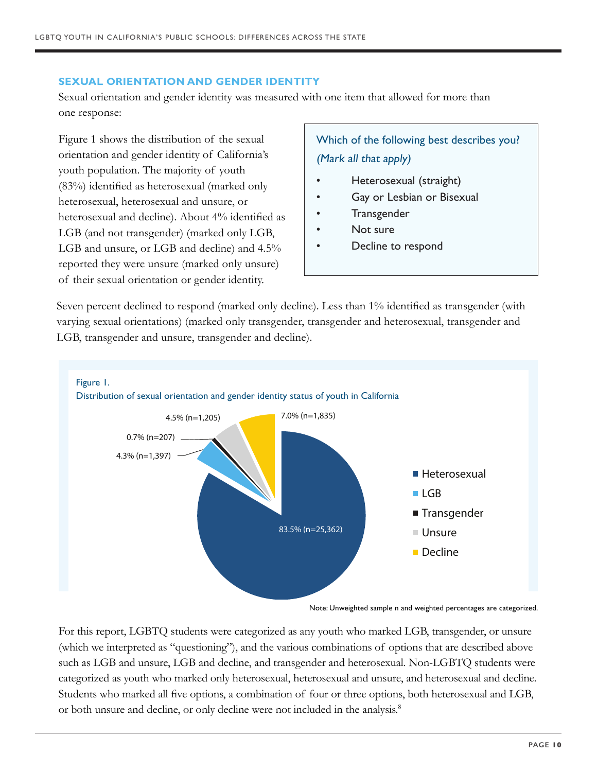#### **SEXUAL ORIENTATION AND GENDER IDENTITY**

Sexual orientation and gender identity was measured with one item that allowed for more than one response:

Figure 1 shows the distribution of the sexual orientation and gender identity of California's youth population. The majority of youth (83%) identified as heterosexual (marked only heterosexual, heterosexual and unsure, or heterosexual and decline). About 4% identified as LGB (and not transgender) (marked only LGB, LGB and unsure, or LGB and decline) and 4.5% reported they were unsure (marked only unsure) of their sexual orientation or gender identity.

Which of the following best describes you? (Mark all that apply)

- Heterosexual (straight)
- Gay or Lesbian or Bisexual
- **Transgender**
- Not sure
- Decline to respond

Seven percent declined to respond (marked only decline). Less than 1% identified as transgender (with varying sexual orientations) (marked only transgender, transgender and heterosexual, transgender and LGB, transgender and unsure, transgender and decline).



Note: Unweighted sample n and weighted percentages are categorized.

For this report, LGBTQ students were categorized as any youth who marked LGB, transgender, or unsure (which we interpreted as "questioning"), and the various combinations of options that are described above such as LGB and unsure, LGB and decline, and transgender and heterosexual. Non-LGBTQ students were categorized as youth who marked only heterosexual, heterosexual and unsure, and heterosexual and decline. Students who marked all five options, a combination of four or three options, both heterosexual and LGB, or both unsure and decline, or only decline were not included in the analysis.<sup>8</sup>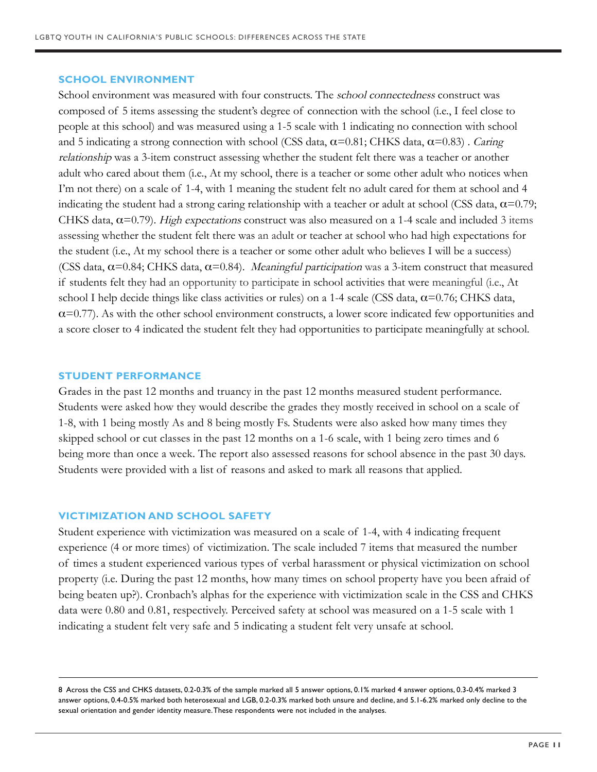#### **SCHOOL ENVIRONMENT**

School environment was measured with four constructs. The school connectedness construct was composed of 5 items assessing the student's degree of connection with the school (i.e., I feel close to people at this school) and was measured using a 1-5 scale with 1 indicating no connection with school and 5 indicating a strong connection with school (CSS data,  $\alpha$ =0.81; CHKS data,  $\alpha$ =0.83). Caring relationship was a 3-item construct assessing whether the student felt there was a teacher or another adult who cared about them (i.e., At my school, there is a teacher or some other adult who notices when I'm not there) on a scale of 1-4, with 1 meaning the student felt no adult cared for them at school and 4 indicating the student had a strong caring relationship with a teacher or adult at school (CSS data,  $\alpha$ =0.79; CHKS data,  $\alpha$ =0.79). *High expectations* construct was also measured on a 1-4 scale and included 3 items assessing whether the student felt there was an adult or teacher at school who had high expectations for the student (i.e., At my school there is a teacher or some other adult who believes I will be a success) (CSS data,  $\alpha$ =0.84; CHKS data,  $\alpha$ =0.84). *Meaningful participation* was a 3-item construct that measured if students felt they had an opportunity to participate in school activities that were meaningful (i.e., At school I help decide things like class activities or rules) on a 1-4 scale (CSS data,  $\alpha$ =0.76; CHKS data,  $\alpha$ =0.77). As with the other school environment constructs, a lower score indicated few opportunities and a score closer to 4 indicated the student felt they had opportunities to participate meaningfully at school.

#### **STUDENT PERFORMANCE**

Grades in the past 12 months and truancy in the past 12 months measured student performance. Students were asked how they would describe the grades they mostly received in school on a scale of 1-8, with 1 being mostly As and 8 being mostly Fs. Students were also asked how many times they skipped school or cut classes in the past 12 months on a 1-6 scale, with 1 being zero times and 6 being more than once a week. The report also assessed reasons for school absence in the past 30 days. Students were provided with a list of reasons and asked to mark all reasons that applied.

#### **VICTIMIZATION AND SCHOOL SAFETY**

Student experience with victimization was measured on a scale of 1-4, with 4 indicating frequent experience (4 or more times) of victimization. The scale included 7 items that measured the number of times a student experienced various types of verbal harassment or physical victimization on school property (i.e. During the past 12 months, how many times on school property have you been afraid of being beaten up?). Cronbach's alphas for the experience with victimization scale in the CSS and CHKS data were 0.80 and 0.81, respectively. Perceived safety at school was measured on a 1-5 scale with 1 indicating a student felt very safe and 5 indicating a student felt very unsafe at school.

8 Across the CSS and CHKS datasets, 0.2-0.3% of the sample marked all 5 answer options, 0.1% marked 4 answer options, 0.3-0.4% marked 3 answer options, 0.4-0.5% marked both heterosexual and LGB, 0.2-0.3% marked both unsure and decline, and 5.1-6.2% marked only decline to the sexual orientation and gender identity measure. These respondents were not included in the analyses.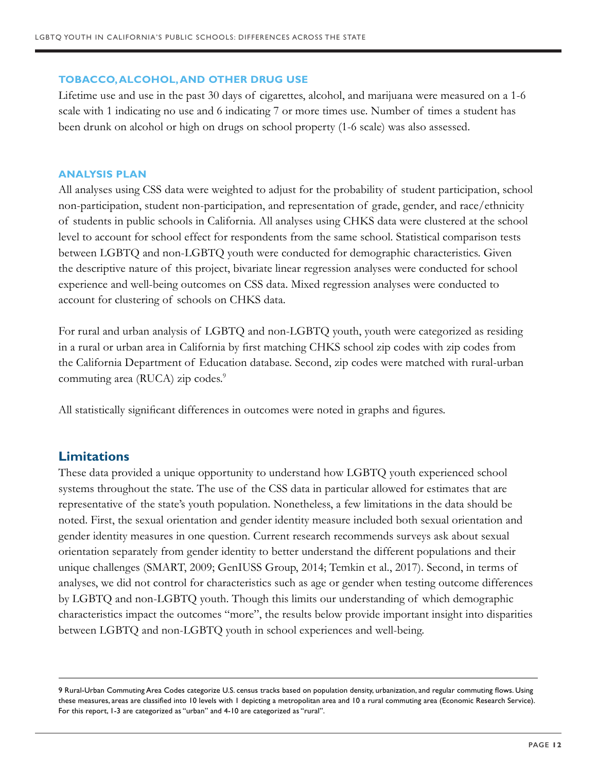#### **TOBACCO, ALCOHOL, AND OTHER DRUG USE**

Lifetime use and use in the past 30 days of cigarettes, alcohol, and marijuana were measured on a 1-6 scale with 1 indicating no use and 6 indicating 7 or more times use. Number of times a student has been drunk on alcohol or high on drugs on school property (1-6 scale) was also assessed.

#### **ANALYSIS PLAN**

All analyses using CSS data were weighted to adjust for the probability of student participation, school non-participation, student non-participation, and representation of grade, gender, and race/ethnicity of students in public schools in California. All analyses using CHKS data were clustered at the school level to account for school effect for respondents from the same school. Statistical comparison tests between LGBTQ and non-LGBTQ youth were conducted for demographic characteristics. Given the descriptive nature of this project, bivariate linear regression analyses were conducted for school experience and well-being outcomes on CSS data. Mixed regression analyses were conducted to account for clustering of schools on CHKS data.

For rural and urban analysis of LGBTQ and non-LGBTQ youth, youth were categorized as residing in a rural or urban area in California by first matching CHKS school zip codes with zip codes from the California Department of Education database. Second, zip codes were matched with rural-urban commuting area (RUCA) zip codes.<sup>9</sup>

All statistically significant differences in outcomes were noted in graphs and figures.

### **Limitations**

These data provided a unique opportunity to understand how LGBTQ youth experienced school systems throughout the state. The use of the CSS data in particular allowed for estimates that are representative of the state's youth population. Nonetheless, a few limitations in the data should be noted. First, the sexual orientation and gender identity measure included both sexual orientation and gender identity measures in one question. Current research recommends surveys ask about sexual orientation separately from gender identity to better understand the different populations and their unique challenges (SMART, 2009; GenIUSS Group, 2014; Temkin et al., 2017). Second, in terms of analyses, we did not control for characteristics such as age or gender when testing outcome differences by LGBTQ and non-LGBTQ youth. Though this limits our understanding of which demographic characteristics impact the outcomes "more", the results below provide important insight into disparities between LGBTQ and non-LGBTQ youth in school experiences and well-being.

<sup>9</sup> Rural-Urban Commuting Area Codes categorize U.S. census tracks based on population density, urbanization, and regular commuting flows. Using these measures, areas are classified into 10 levels with 1 depicting a metropolitan area and 10 a rural commuting area (Economic Research Service). For this report, 1-3 are categorized as "urban" and 4-10 are categorized as "rural".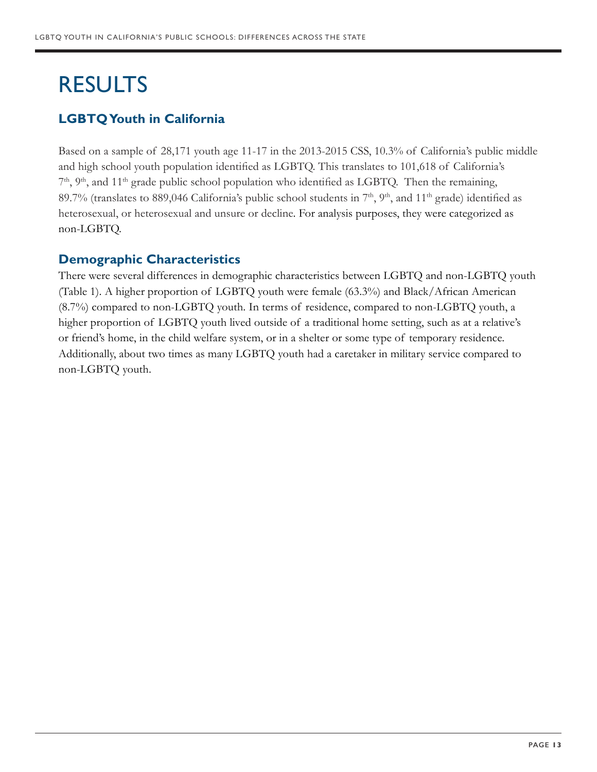# RESULTS

# **LGBTQ Youth in California**

Based on a sample of 28,171 youth age 11-17 in the 2013-2015 CSS, 10.3% of California's public middle and high school youth population identified as LGBTQ. This translates to 101,618 of California's  $7<sup>th</sup>$ ,  $9<sup>th</sup>$ , and  $11<sup>th</sup>$  grade public school population who identified as LGBTQ. Then the remaining, 89.7% (translates to 889,046 California's public school students in  $7<sup>th</sup>$ ,  $9<sup>th</sup>$ , and  $11<sup>th</sup>$  grade) identified as heterosexual, or heterosexual and unsure or decline. For analysis purposes, they were categorized as non-LGBTQ.

### **Demographic Characteristics**

There were several differences in demographic characteristics between LGBTQ and non-LGBTQ youth (Table 1). A higher proportion of LGBTQ youth were female (63.3%) and Black/African American (8.7%) compared to non-LGBTQ youth. In terms of residence, compared to non-LGBTQ youth, a higher proportion of LGBTQ youth lived outside of a traditional home setting, such as at a relative's or friend's home, in the child welfare system, or in a shelter or some type of temporary residence. Additionally, about two times as many LGBTQ youth had a caretaker in military service compared to non-LGBTQ youth.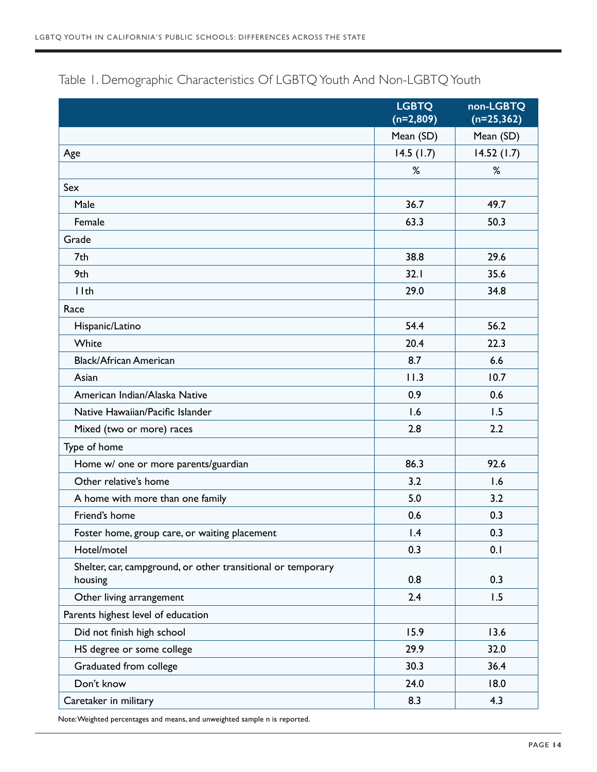|                                                                         | <b>LGBTQ</b><br>$(n=2,809)$ | non-LGBTQ<br>$(n=25, 362)$ |
|-------------------------------------------------------------------------|-----------------------------|----------------------------|
|                                                                         | Mean (SD)                   | Mean (SD)                  |
| Age                                                                     | 14.5(1.7)                   | 14.52(1.7)                 |
|                                                                         | %                           | %                          |
| Sex                                                                     |                             |                            |
| Male                                                                    | 36.7                        | 49.7                       |
| Female                                                                  | 63.3                        | 50.3                       |
| Grade                                                                   |                             |                            |
| 7th                                                                     | 38.8                        | 29.6                       |
| 9th                                                                     | 32.1                        | 35.6                       |
| I I th                                                                  | 29.0                        | 34.8                       |
| Race                                                                    |                             |                            |
| Hispanic/Latino                                                         | 54.4                        | 56.2                       |
| White                                                                   | 20.4                        | 22.3                       |
| <b>Black/African American</b>                                           | 8.7                         | 6.6                        |
| Asian                                                                   | 11.3                        | 10.7                       |
| American Indian/Alaska Native                                           | 0.9                         | 0.6                        |
| Native Hawaiian/Pacific Islander                                        | 1.6                         | 1.5                        |
| Mixed (two or more) races                                               | 2.8                         | 2.2                        |
| Type of home                                                            |                             |                            |
| Home w/ one or more parents/guardian                                    | 86.3                        | 92.6                       |
| Other relative's home                                                   | 3.2                         | 1.6                        |
| A home with more than one family                                        | 5.0                         | 3.2                        |
| Friend's home                                                           | 0.6                         | 0.3                        |
| Foster home, group care, or waiting placement                           | 1.4                         | 0.3                        |
| Hotel/motel                                                             | 0.3                         | 0.1                        |
| Shelter, car, campground, or other transitional or temporary<br>housing | 0.8                         | 0.3                        |
| Other living arrangement                                                | 2.4                         | 1.5                        |
| Parents highest level of education                                      |                             |                            |
| Did not finish high school                                              | 15.9                        | 13.6                       |
| HS degree or some college                                               | 29.9                        | 32.0                       |
| Graduated from college                                                  | 30.3                        | 36.4                       |
| Don't know                                                              | 24.0                        | 18.0                       |
| Caretaker in military                                                   | 8.3                         | 4.3                        |

# Table 1. Demographic Characteristics Of LGBTQ Youth And Non-LGBTQ Youth

Note: Weighted percentages and means, and unweighted sample n is reported.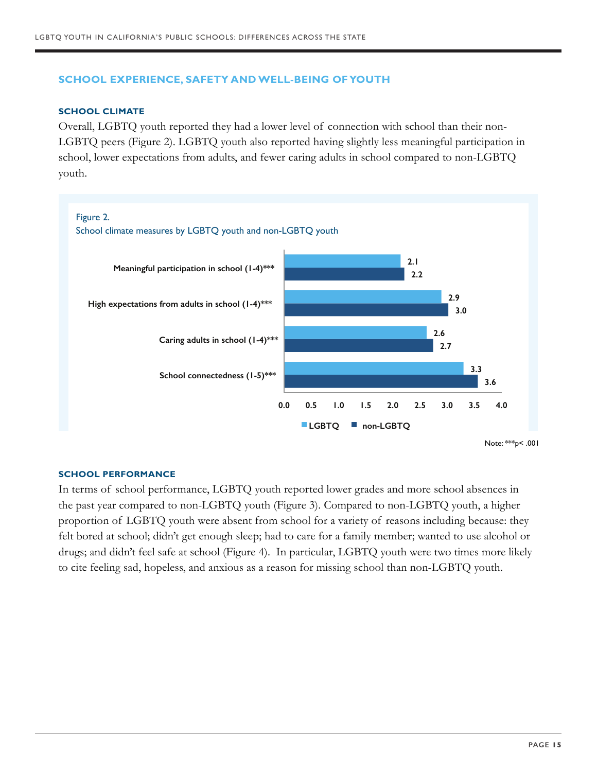#### **SCHOOL EXPERIENCE, SAFETY AND WELL-BEING OF YOUTH**

#### **SCHOOL CLIMATE**

Overall, LGBTQ youth reported they had a lower level of connection with school than their non-LGBTQ peers (Figure 2). LGBTQ youth also reported having slightly less meaningful participation in school, lower expectations from adults, and fewer caring adults in school compared to non-LGBTQ youth.



#### **SCHOOL PERFORMANCE**

In terms of school performance, LGBTQ youth reported lower grades and more school absences in the past year compared to non-LGBTQ youth (Figure 3). Compared to non-LGBTQ youth, a higher proportion of LGBTQ youth were absent from school for a variety of reasons including because: they felt bored at school; didn't get enough sleep; had to care for a family member; wanted to use alcohol or drugs; and didn't feel safe at school (Figure 4). In particular, LGBTQ youth were two times more likely to cite feeling sad, hopeless, and anxious as a reason for missing school than non-LGBTQ youth.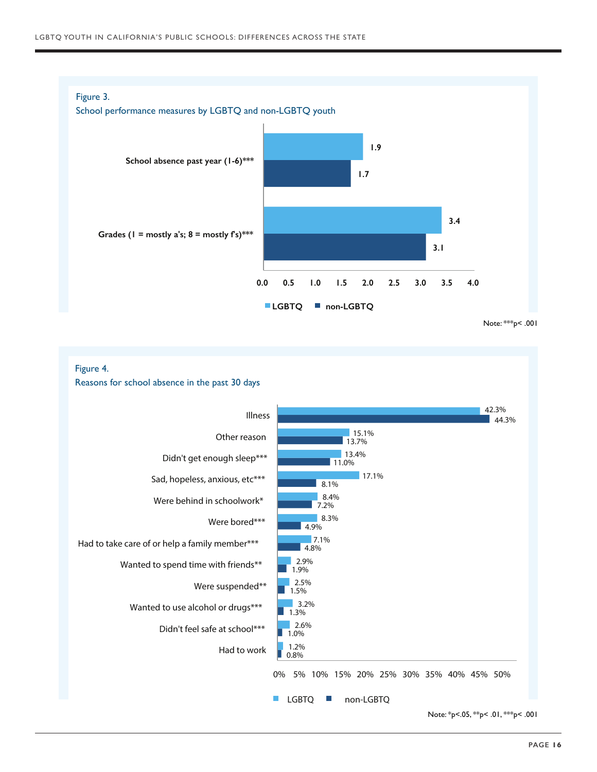

Figure 4.

Reasons for school absence in the past 30 days



Note: \*p<.05, \*\*p< .01, \*\*\*p< .001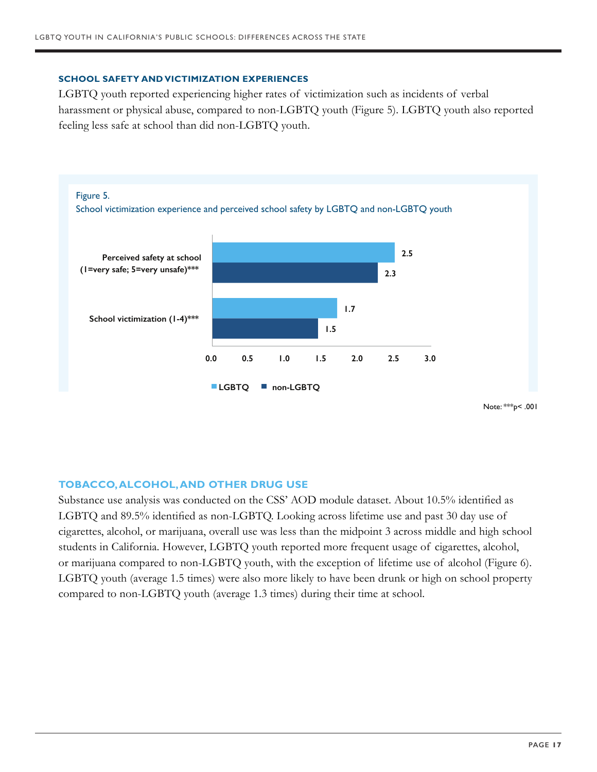#### **SCHOOL SAFETY AND VICTIMIZATION EXPERIENCES**

LGBTQ youth reported experiencing higher rates of victimization such as incidents of verbal harassment or physical abuse, compared to non-LGBTQ youth (Figure 5). LGBTQ youth also reported feeling less safe at school than did non-LGBTQ youth.



#### **TOBACCO, ALCOHOL, AND OTHER DRUG USE**

Substance use analysis was conducted on the CSS' AOD module dataset. About 10.5% identified as LGBTQ and 89.5% identified as non-LGBTQ. Looking across lifetime use and past 30 day use of cigarettes, alcohol, or marijuana, overall use was less than the midpoint 3 across middle and high school students in California. However, LGBTQ youth reported more frequent usage of cigarettes, alcohol, or marijuana compared to non-LGBTQ youth, with the exception of lifetime use of alcohol (Figure 6). LGBTQ youth (average 1.5 times) were also more likely to have been drunk or high on school property compared to non-LGBTQ youth (average 1.3 times) during their time at school.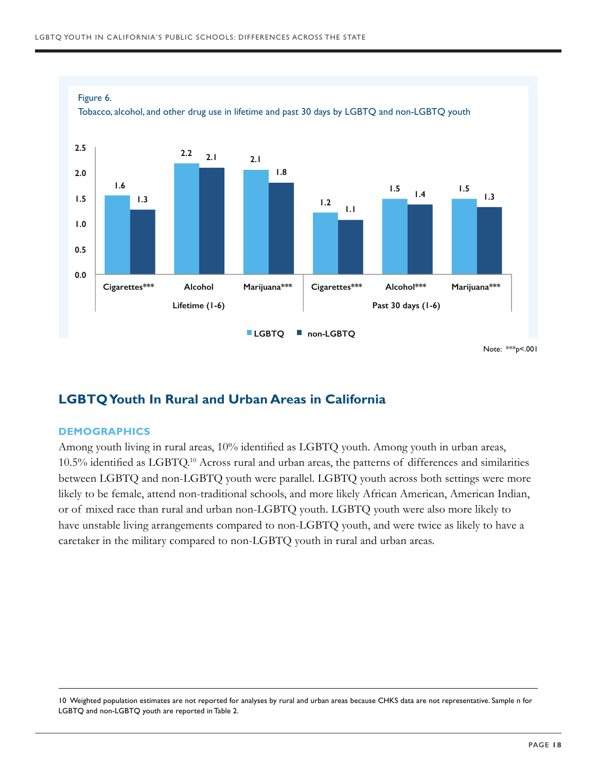

# **LGBTQ Youth In Rural and Urban Areas in California**

#### **DEMOGRAPHICS**

Among youth living in rural areas, 10% identified as LGBTQ youth. Among youth in urban areas, 10.5% identified as LGBTQ.10 Across rural and urban areas, the patterns of differences and similarities between LGBTQ and non-LGBTQ youth were parallel. LGBTQ youth across both settings were more likely to be female, attend non-traditional schools, and more likely African American, American Indian, or of mixed race than rural and urban non-LGBTQ youth. LGBTQ youth were also more likely to have unstable living arrangements compared to non-LGBTQ youth, and were twice as likely to have a caretaker in the military compared to non-LGBTQ youth in rural and urban areas.

10 Weighted population estimates are not reported for analyses by rural and urban areas because CHKS data are not representative. Sample n for LGBTQ and non-LGBTQ youth are reported in Table 2.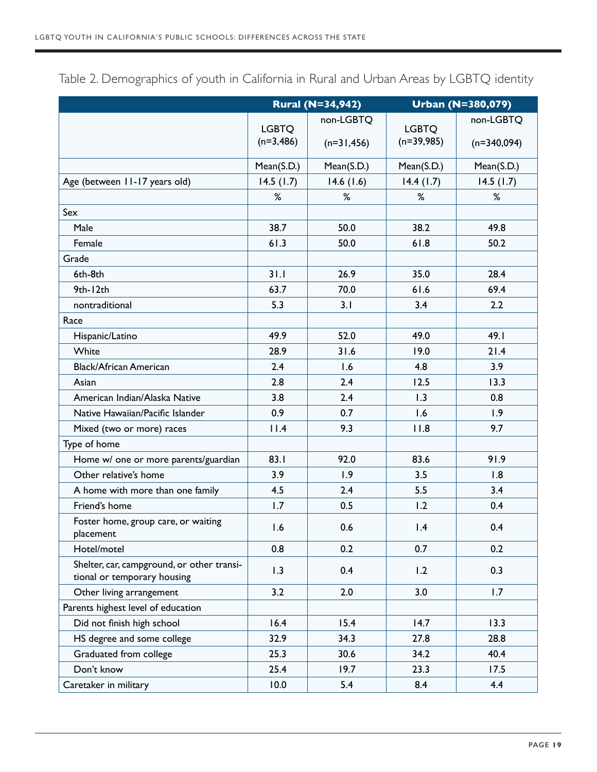|                                                                           | <b>Rural (N=34,942)</b> |               | <b>Urban (N=380,079)</b> |               |
|---------------------------------------------------------------------------|-------------------------|---------------|--------------------------|---------------|
|                                                                           | <b>LGBTQ</b>            | non-LGBTQ     | <b>LGBTQ</b>             | non-LGBTQ     |
|                                                                           | $(n=3,486)$             | $(n=31, 456)$ | $(n=39,985)$             | $(n=340,094)$ |
|                                                                           | Mean(S.D.)              | Mean(S.D.)    | Mean(S.D.)               | Mean(S.D.)    |
| Age (between 11-17 years old)                                             | 14.5(1.7)               | 14.6(1.6)     | 14.4(1.7)                | 14.5(1.7)     |
|                                                                           | %                       | %             | %                        | %             |
| Sex                                                                       |                         |               |                          |               |
| Male                                                                      | 38.7                    | 50.0          | 38.2                     | 49.8          |
| Female                                                                    | 61.3                    | 50.0          | 61.8                     | 50.2          |
| Grade                                                                     |                         |               |                          |               |
| 6th-8th                                                                   | 31.1                    | 26.9          | 35.0                     | 28.4          |
| 9th-12th                                                                  | 63.7                    | 70.0          | 61.6                     | 69.4          |
| nontraditional                                                            | 5.3                     | 3.1           | 3.4                      | 2.2           |
| Race                                                                      |                         |               |                          |               |
| Hispanic/Latino                                                           | 49.9                    | 52.0          | 49.0                     | 49.I          |
| White                                                                     | 28.9                    | 31.6          | 19.0                     | 21.4          |
| <b>Black/African American</b>                                             | 2.4                     | 1.6           | 4.8                      | 3.9           |
| Asian                                                                     | 2.8                     | 2.4           | 12.5                     | 13.3          |
| American Indian/Alaska Native                                             | 3.8                     | 2.4           | 1.3                      | 0.8           |
| Native Hawaiian/Pacific Islander                                          | 0.9                     | 0.7           | 1.6                      | 1.9           |
| Mixed (two or more) races                                                 | 11.4                    | 9.3           | 11.8                     | 9.7           |
| Type of home                                                              |                         |               |                          |               |
| Home w/ one or more parents/guardian                                      | 83.1                    | 92.0          | 83.6                     | 91.9          |
| Other relative's home                                                     | 3.9                     | 1.9           | 3.5                      | 1.8           |
| A home with more than one family                                          | 4.5                     | 2.4           | 5.5                      | 3.4           |
| Friend's home                                                             | 1.7                     | 0.5           | 1.2                      | 0.4           |
| Foster home, group care, or waiting<br>placement                          | 1.6                     | 0.6           | 1.4                      | 0.4           |
| Hotel/motel                                                               | 0.8                     | 0.2           | 0.7                      | 0.2           |
| Shelter, car, campground, or other transi-<br>tional or temporary housing | 1.3                     | 0.4           | 1.2                      | 0.3           |
| Other living arrangement                                                  | 3.2                     | 2.0           | 3.0                      | 1.7           |
| Parents highest level of education                                        |                         |               |                          |               |
| Did not finish high school                                                | 16.4                    | 15.4          | 14.7                     | 13.3          |
| HS degree and some college                                                | 32.9                    | 34.3          | 27.8                     | 28.8          |
| Graduated from college                                                    | 25.3                    | 30.6          | 34.2                     | 40.4          |
| Don't know                                                                | 25.4                    | 19.7          | 23.3                     | 17.5          |
| Caretaker in military                                                     | 10.0                    | 5.4           | 8.4                      | 4.4           |

Table 2. Demographics of youth in California in Rural and Urban Areas by LGBTQ identity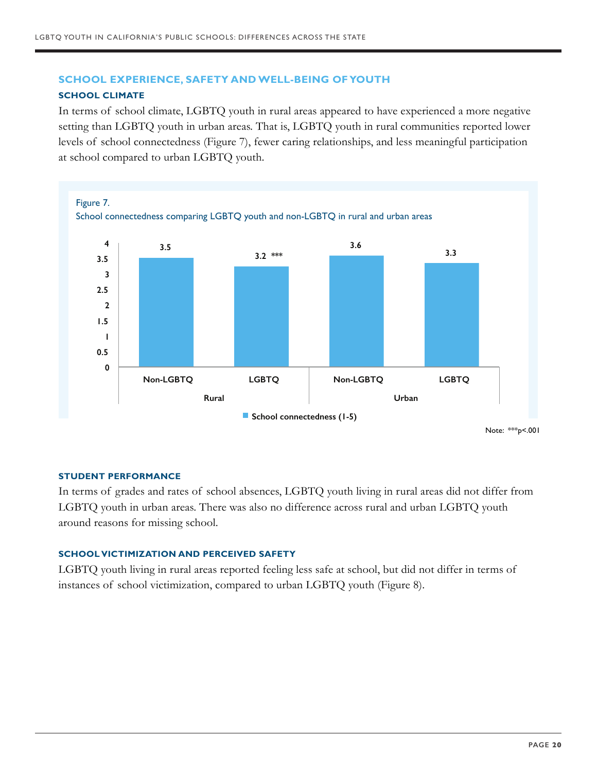#### **SCHOOL EXPERIENCE, SAFETY AND WELL-BEING OF YOUTH**

#### **SCHOOL CLIMATE**

In terms of school climate, LGBTQ youth in rural areas appeared to have experienced a more negative setting than LGBTQ youth in urban areas. That is, LGBTQ youth in rural communities reported lower levels of school connectedness (Figure 7), fewer caring relationships, and less meaningful participation at school compared to urban LGBTQ youth.



#### **STUDENT PERFORMANCE**

In terms of grades and rates of school absences, LGBTQ youth living in rural areas did not differ from LGBTQ youth in urban areas. There was also no difference across rural and urban LGBTQ youth around reasons for missing school.

#### **SCHOOL VICTIMIZATION AND PERCEIVED SAFETY**

LGBTQ youth living in rural areas reported feeling less safe at school, but did not differ in terms of instances of school victimization, compared to urban LGBTQ youth (Figure 8).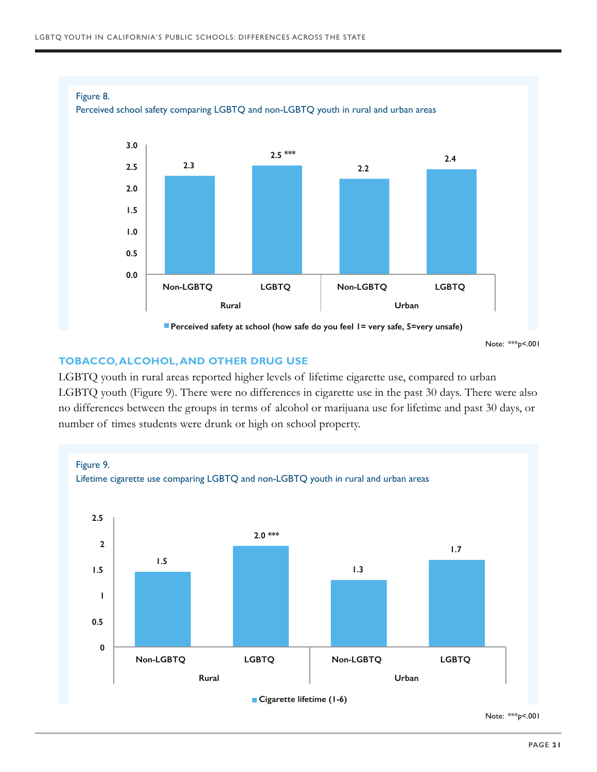

Note: \*\*\*p<.001

#### **TOBACCO, ALCOHOL, AND OTHER DRUG USE**

LGBTQ youth in rural areas reported higher levels of lifetime cigarette use, compared to urban LGBTQ youth (Figure 9). There were no differences in cigarette use in the past 30 days. There were also no differences between the groups in terms of alcohol or marijuana use for lifetime and past 30 days, or number of times students were drunk or high on school property.



Note: \*\*\*p<.001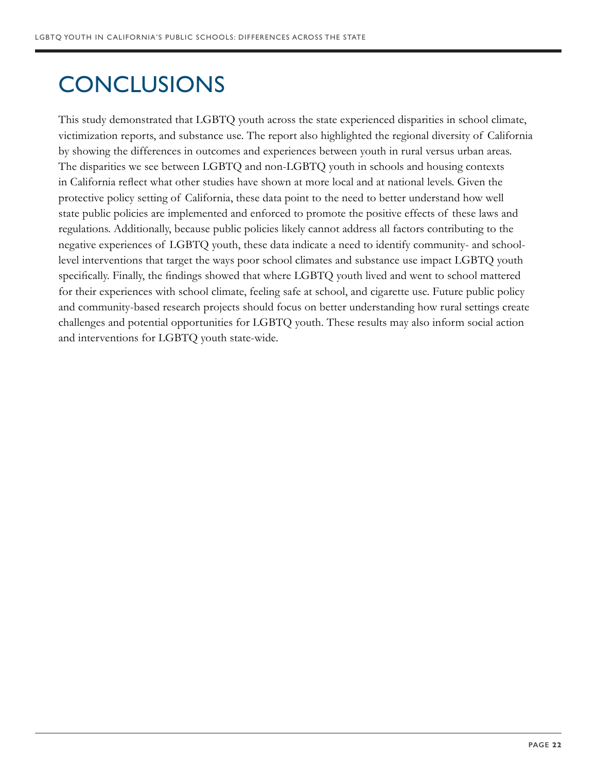# **CONCLUSIONS**

This study demonstrated that LGBTQ youth across the state experienced disparities in school climate, victimization reports, and substance use. The report also highlighted the regional diversity of California by showing the differences in outcomes and experiences between youth in rural versus urban areas. The disparities we see between LGBTQ and non-LGBTQ youth in schools and housing contexts in California reflect what other studies have shown at more local and at national levels. Given the protective policy setting of California, these data point to the need to better understand how well state public policies are implemented and enforced to promote the positive effects of these laws and regulations. Additionally, because public policies likely cannot address all factors contributing to the negative experiences of LGBTQ youth, these data indicate a need to identify community- and schoollevel interventions that target the ways poor school climates and substance use impact LGBTQ youth specifically. Finally, the findings showed that where LGBTQ youth lived and went to school mattered for their experiences with school climate, feeling safe at school, and cigarette use. Future public policy and community-based research projects should focus on better understanding how rural settings create challenges and potential opportunities for LGBTQ youth. These results may also inform social action and interventions for LGBTQ youth state-wide.